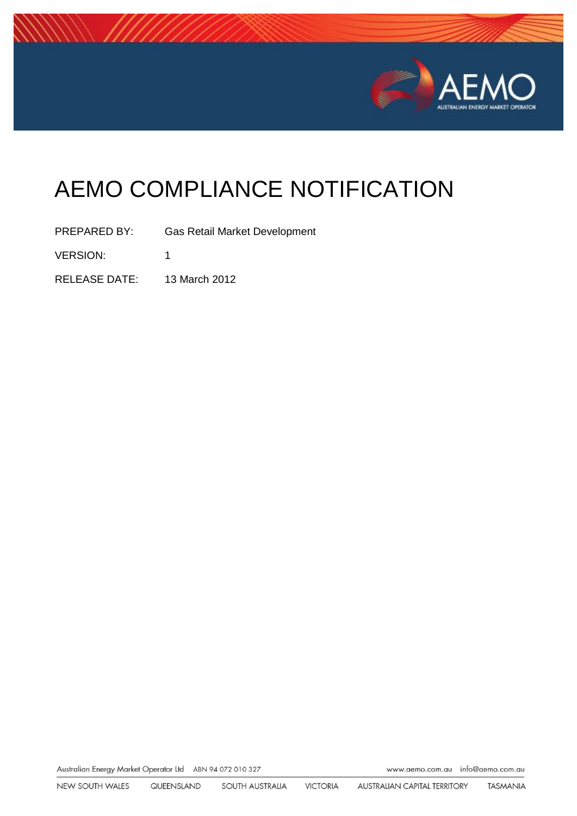

# AEMO COMPLIANCE NOTIFICATION

PREPARED BY: Gas Retail Market Development VERSION: 1 RELEASE DATE: 13 March 2012

Australian Energy Market Operator Ltd ABN 94 072 010 327

www.aemo.com.au info@aemo.com.au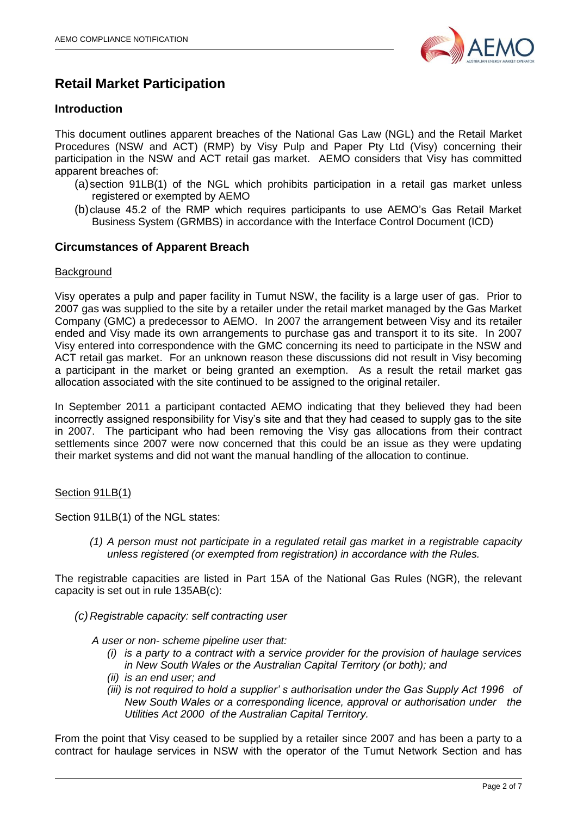

# **Retail Market Participation**

## **Introduction**

This document outlines apparent breaches of the National Gas Law (NGL) and the Retail Market Procedures (NSW and ACT) (RMP) by Visy Pulp and Paper Pty Ltd (Visy) concerning their participation in the NSW and ACT retail gas market. AEMO considers that Visy has committed apparent breaches of:

- (a)section 91LB(1) of the NGL which prohibits participation in a retail gas market unless registered or exempted by AEMO
- (b)clause 45.2 of the RMP which requires participants to use AEMO's Gas Retail Market Business System (GRMBS) in accordance with the Interface Control Document (ICD)

### **Circumstances of Apparent Breach**

#### **Background**

Visy operates a pulp and paper facility in Tumut NSW, the facility is a large user of gas. Prior to 2007 gas was supplied to the site by a retailer under the retail market managed by the Gas Market Company (GMC) a predecessor to AEMO. In 2007 the arrangement between Visy and its retailer ended and Visy made its own arrangements to purchase gas and transport it to its site. In 2007 Visy entered into correspondence with the GMC concerning its need to participate in the NSW and ACT retail gas market. For an unknown reason these discussions did not result in Visy becoming a participant in the market or being granted an exemption. As a result the retail market gas allocation associated with the site continued to be assigned to the original retailer.

In September 2011 a participant contacted AEMO indicating that they believed they had been incorrectly assigned responsibility for Visy's site and that they had ceased to supply gas to the site in 2007. The participant who had been removing the Visy gas allocations from their contract settlements since 2007 were now concerned that this could be an issue as they were updating their market systems and did not want the manual handling of the allocation to continue.

#### Section 91LB(1)

Section 91LB(1) of the NGL states:

*(1) A person must not participate in a regulated retail gas market in a registrable capacity unless registered (or exempted from registration) in accordance with the Rules.*

The registrable capacities are listed in Part 15A of the National Gas Rules (NGR), the relevant capacity is set out in rule 135AB(c):

- *(c) Registrable capacity: self contracting user* 
	- *A user or non- scheme pipeline user that:* 
		- *(i) is a party to a contract with a service provider for the provision of haulage services in New South Wales or the Australian Capital Territory (or both); and*
		- *(ii) is an end user; and*
		- *(iii) is not required to hold a supplier' s authorisation under the Gas Supply Act 1996 of New South Wales or a corresponding licence, approval or authorisation under the Utilities Act 2000 of the Australian Capital Territory.*

From the point that Visy ceased to be supplied by a retailer since 2007 and has been a party to a contract for haulage services in NSW with the operator of the Tumut Network Section and has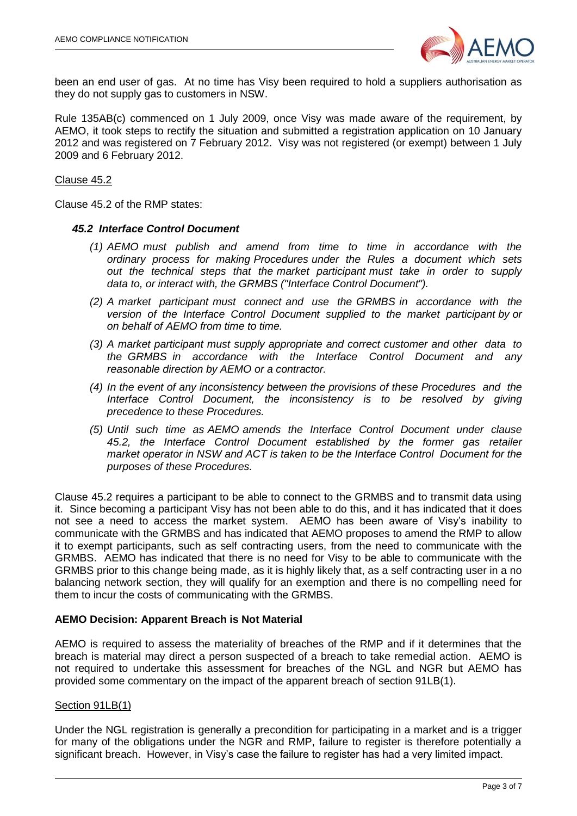

been an end user of gas. At no time has Visy been required to hold a suppliers authorisation as they do not supply gas to customers in NSW.

Rule 135AB(c) commenced on 1 July 2009, once Visy was made aware of the requirement, by AEMO, it took steps to rectify the situation and submitted a registration application on 10 January 2012 and was registered on 7 February 2012. Visy was not registered (or exempt) between 1 July 2009 and 6 February 2012.

Clause 45.2

Clause 45.2 of the RMP states:

#### *45.2 Interface Control Document*

- *(1) AEMO must publish and amend from time to time in accordance with the ordinary process for making Procedures under the Rules a document which sets out the technical steps that the market participant must take in order to supply data to, or interact with, the GRMBS ("Interface Control Document").*
- *(2) A market participant must connect and use the GRMBS in accordance with the version of the Interface Control Document supplied to the market participant by or on behalf of AEMO from time to time.*
- *(3) A market participant must supply appropriate and correct customer and other data to the GRMBS in accordance with the Interface Control Document and any reasonable direction by AEMO or a contractor.*
- *(4) In the event of any inconsistency between the provisions of these Procedures and the Interface Control Document, the inconsistency is to be resolved by giving precedence to these Procedures.*
- *(5) Until such time as AEMO amends the Interface Control Document under clause 45.2, the Interface Control Document established by the former gas retailer market operator in NSW and ACT is taken to be the Interface Control Document for the purposes of these Procedures.*

Clause 45.2 requires a participant to be able to connect to the GRMBS and to transmit data using it. Since becoming a participant Visy has not been able to do this, and it has indicated that it does not see a need to access the market system. AEMO has been aware of Visy's inability to communicate with the GRMBS and has indicated that AEMO proposes to amend the RMP to allow it to exempt participants, such as self contracting users, from the need to communicate with the GRMBS. AEMO has indicated that there is no need for Visy to be able to communicate with the GRMBS prior to this change being made, as it is highly likely that, as a self contracting user in a no balancing network section, they will qualify for an exemption and there is no compelling need for them to incur the costs of communicating with the GRMBS.

#### **AEMO Decision: Apparent Breach is Not Material**

AEMO is required to assess the materiality of breaches of the RMP and if it determines that the breach is material may direct a person suspected of a breach to take remedial action. AEMO is not required to undertake this assessment for breaches of the NGL and NGR but AEMO has provided some commentary on the impact of the apparent breach of section 91LB(1).

#### Section 91LB(1)

Under the NGL registration is generally a precondition for participating in a market and is a trigger for many of the obligations under the NGR and RMP, failure to register is therefore potentially a significant breach. However, in Visy's case the failure to register has had a very limited impact.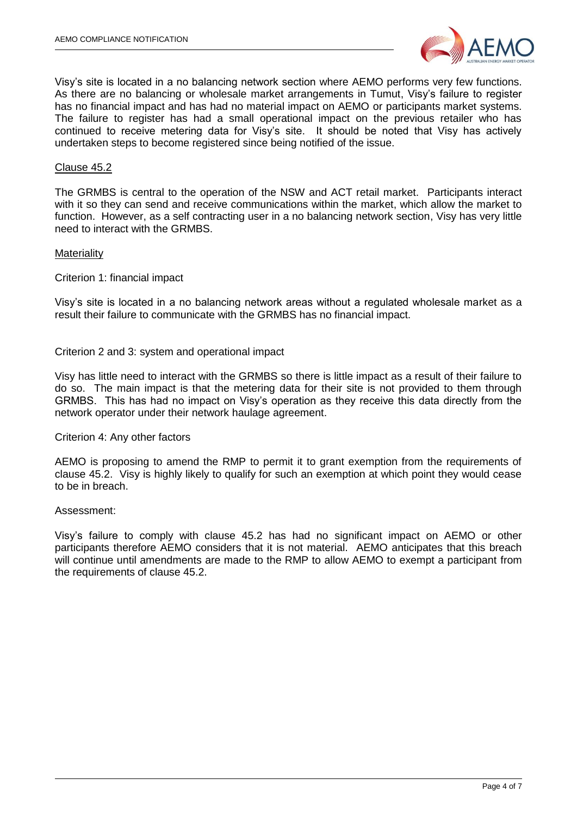

Visy's site is located in a no balancing network section where AEMO performs very few functions. As there are no balancing or wholesale market arrangements in Tumut, Visy's failure to register has no financial impact and has had no material impact on AEMO or participants market systems. The failure to register has had a small operational impact on the previous retailer who has continued to receive metering data for Visy's site. It should be noted that Visy has actively undertaken steps to become registered since being notified of the issue.

#### Clause 45.2

The GRMBS is central to the operation of the NSW and ACT retail market. Participants interact with it so they can send and receive communications within the market, which allow the market to function. However, as a self contracting user in a no balancing network section, Visy has very little need to interact with the GRMBS.

#### **Materiality**

Criterion 1: financial impact

Visy's site is located in a no balancing network areas without a regulated wholesale market as a result their failure to communicate with the GRMBS has no financial impact.

#### Criterion 2 and 3: system and operational impact

Visy has little need to interact with the GRMBS so there is little impact as a result of their failure to do so. The main impact is that the metering data for their site is not provided to them through GRMBS. This has had no impact on Visy's operation as they receive this data directly from the network operator under their network haulage agreement.

#### Criterion 4: Any other factors

AEMO is proposing to amend the RMP to permit it to grant exemption from the requirements of clause 45.2. Visy is highly likely to qualify for such an exemption at which point they would cease to be in breach.

#### Assessment:

Visy's failure to comply with clause 45.2 has had no significant impact on AEMO or other participants therefore AEMO considers that it is not material. AEMO anticipates that this breach will continue until amendments are made to the RMP to allow AEMO to exempt a participant from the requirements of clause 45.2.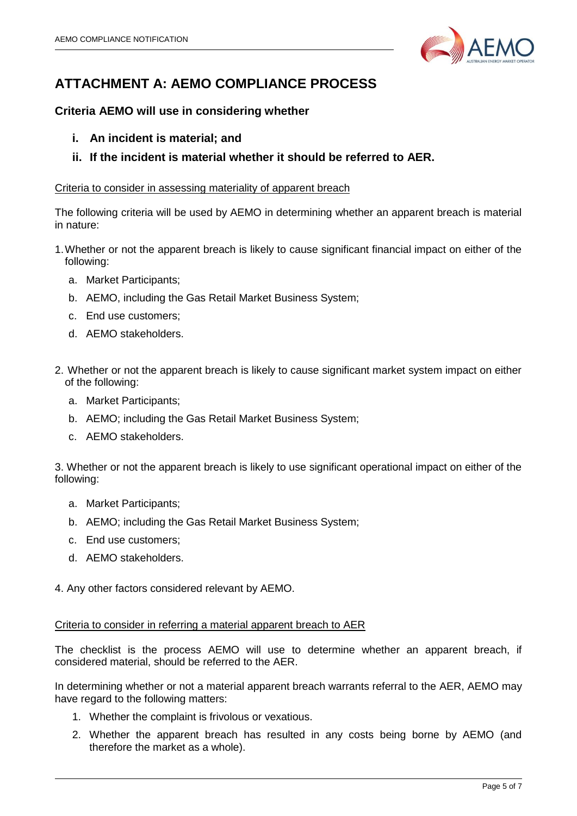

# **ATTACHMENT A: AEMO COMPLIANCE PROCESS**

# **Criteria AEMO will use in considering whether**

- **i. An incident is material; and**
- **ii. If the incident is material whether it should be referred to AER.**

#### Criteria to consider in assessing materiality of apparent breach

The following criteria will be used by AEMO in determining whether an apparent breach is material in nature:

- 1.Whether or not the apparent breach is likely to cause significant financial impact on either of the following:
	- a. Market Participants;
	- b. AEMO, including the Gas Retail Market Business System;
	- c. End use customers;
	- d. AEMO stakeholders.
- 2. Whether or not the apparent breach is likely to cause significant market system impact on either of the following:
	- a. Market Participants;
	- b. AEMO; including the Gas Retail Market Business System;
	- c. AEMO stakeholders.

3. Whether or not the apparent breach is likely to use significant operational impact on either of the following:

- a. Market Participants;
- b. AEMO; including the Gas Retail Market Business System;
- c. End use customers;
- d. AEMO stakeholders.

4. Any other factors considered relevant by AEMO.

#### Criteria to consider in referring a material apparent breach to AER

The checklist is the process AEMO will use to determine whether an apparent breach, if considered material, should be referred to the AER.

In determining whether or not a material apparent breach warrants referral to the AER, AEMO may have regard to the following matters:

- 1. Whether the complaint is frivolous or vexatious.
- 2. Whether the apparent breach has resulted in any costs being borne by AEMO (and therefore the market as a whole).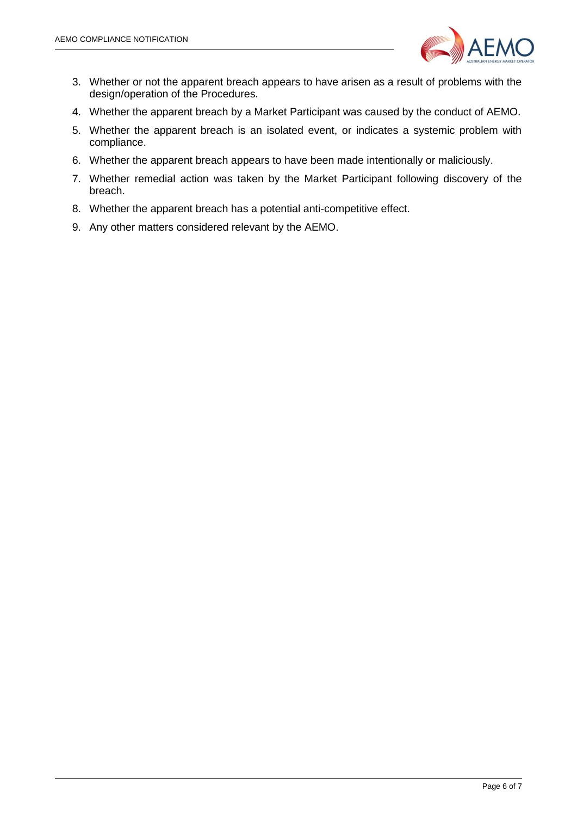

- 3. Whether or not the apparent breach appears to have arisen as a result of problems with the design/operation of the Procedures.
- 4. Whether the apparent breach by a Market Participant was caused by the conduct of AEMO.
- 5. Whether the apparent breach is an isolated event, or indicates a systemic problem with compliance.
- 6. Whether the apparent breach appears to have been made intentionally or maliciously.
- 7. Whether remedial action was taken by the Market Participant following discovery of the breach.
- 8. Whether the apparent breach has a potential anti-competitive effect.
- 9. Any other matters considered relevant by the AEMO.